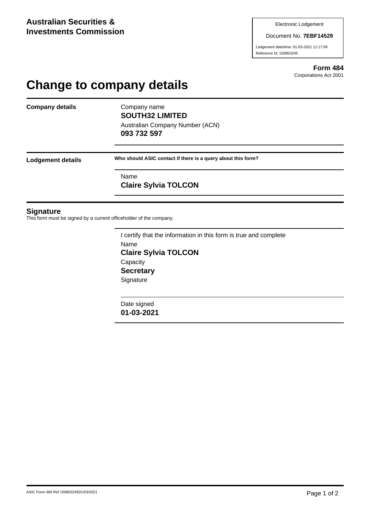#### Document No. **7EBF14529**

Lodgement date/time: 01-03-2021 11:17:09 Reference Id: 150853245

> **Form 484** Corporations Act 2001

# **Change to company details**

**Company details** Company name

**SOUTH32 LIMITED** Australian Company Number (ACN) **093 732 597**

**Lodgement details Who should ASIC contact if there is a query about this form?**

Name **Claire Sylvia TOLCON**

### **Signature**

This form must be signed by a current officeholder of the company.

I certify that the information in this form is true and complete Name **Claire Sylvia TOLCON Capacity Secretary Signature** 

Date signed **01-03-2021**